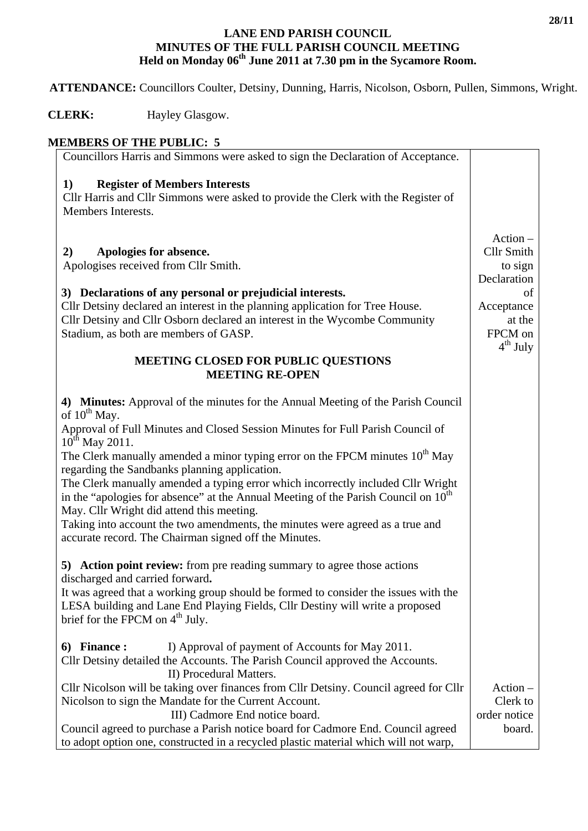## **LANE END PARISH COUNCIL MINUTES OF THE FULL PARISH COUNCIL MEETING**  Held on Monday 06<sup>th</sup> June 2011 at 7.30 pm in the Sycamore Room.

 **ATTENDANCE:** Councillors Coulter, Detsiny, Dunning, Harris, Nicolson, Osborn, Pullen, Simmons, Wright.

**CLERK:** Hayley Glasgow.

| <b>MEMBERS OF THE PUBLIC: 5</b> |
|---------------------------------|
|---------------------------------|

| етнего от тие горене. Э                                                                                                                                                                                                         |                              |
|---------------------------------------------------------------------------------------------------------------------------------------------------------------------------------------------------------------------------------|------------------------------|
| Councillors Harris and Simmons were asked to sign the Declaration of Acceptance.                                                                                                                                                |                              |
| <b>Register of Members Interests</b><br>1)<br>Cllr Harris and Cllr Simmons were asked to provide the Clerk with the Register of<br>Members Interests.                                                                           |                              |
|                                                                                                                                                                                                                                 | $Action -$                   |
| Apologies for absence.<br>2)<br>Apologises received from Cllr Smith.                                                                                                                                                            | <b>Cllr Smith</b><br>to sign |
|                                                                                                                                                                                                                                 | Declaration                  |
| 3) Declarations of any personal or prejudicial interests.                                                                                                                                                                       | οf                           |
| Cllr Detsiny declared an interest in the planning application for Tree House.                                                                                                                                                   | Acceptance                   |
| Cllr Detsiny and Cllr Osborn declared an interest in the Wycombe Community                                                                                                                                                      | at the                       |
| Stadium, as both are members of GASP.                                                                                                                                                                                           | FPCM on<br>$4th$ July        |
| <b>MEETING CLOSED FOR PUBLIC QUESTIONS</b>                                                                                                                                                                                      |                              |
| <b>MEETING RE-OPEN</b>                                                                                                                                                                                                          |                              |
| 4) Minutes: Approval of the minutes for the Annual Meeting of the Parish Council<br>of $10^{th}$ May.<br>Approval of Full Minutes and Closed Session Minutes for Full Parish Council of                                         |                              |
| $10^{th}$ May 2011.                                                                                                                                                                                                             |                              |
| The Clerk manually amended a minor typing error on the FPCM minutes 10 <sup>th</sup> May<br>regarding the Sandbanks planning application.                                                                                       |                              |
| The Clerk manually amended a typing error which incorrectly included Cllr Wright<br>in the "apologies for absence" at the Annual Meeting of the Parish Council on 10 <sup>th</sup><br>May. Cllr Wright did attend this meeting. |                              |
| Taking into account the two amendments, the minutes were agreed as a true and                                                                                                                                                   |                              |
| accurate record. The Chairman signed off the Minutes.                                                                                                                                                                           |                              |
| 5) Action point review: from pre reading summary to agree those actions<br>discharged and carried forward.                                                                                                                      |                              |
| It was agreed that a working group should be formed to consider the issues with the                                                                                                                                             |                              |
| LESA building and Lane End Playing Fields, Cllr Destiny will write a proposed<br>brief for the FPCM on 4 <sup>th</sup> July.                                                                                                    |                              |
|                                                                                                                                                                                                                                 |                              |
| I) Approval of payment of Accounts for May 2011.<br>6) Finance :                                                                                                                                                                |                              |
| Cllr Detsiny detailed the Accounts. The Parish Council approved the Accounts.<br>II) Procedural Matters.                                                                                                                        |                              |
| Cllr Nicolson will be taking over finances from Cllr Detsiny. Council agreed for Cllr                                                                                                                                           | $Action -$                   |
| Nicolson to sign the Mandate for the Current Account.                                                                                                                                                                           | Clerk to                     |
| III) Cadmore End notice board.                                                                                                                                                                                                  | order notice                 |
| Council agreed to purchase a Parish notice board for Cadmore End. Council agreed                                                                                                                                                | board.                       |
| to adopt option one, constructed in a recycled plastic material which will not warp,                                                                                                                                            |                              |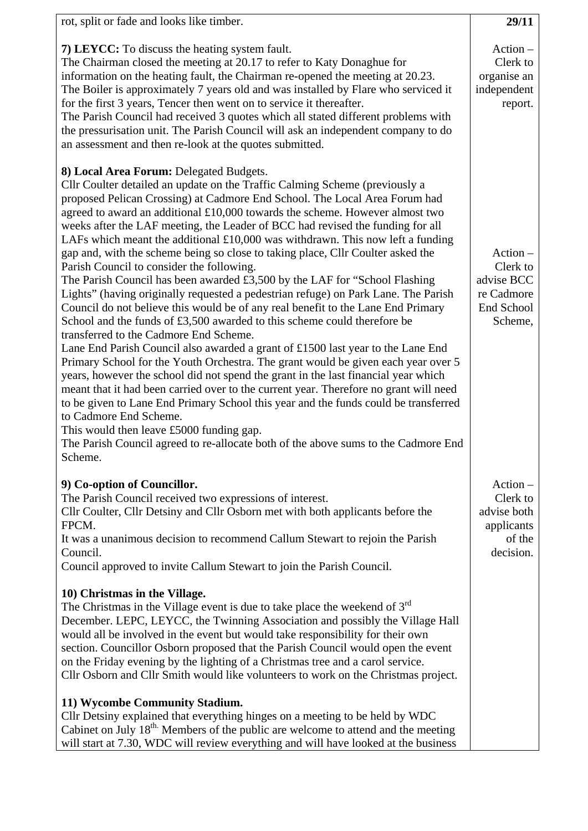| rot, split or fade and looks like timber.                                                                                                                                                                                                                                                                                                                                                                                                                                                                                                                                                                                                                                                                                                                                                                                                                                                                                                                                                                                                                                                                                                                                                                                                                                                                                                                                                                                                                                                                                                                                                     | 29/11                                                                       |
|-----------------------------------------------------------------------------------------------------------------------------------------------------------------------------------------------------------------------------------------------------------------------------------------------------------------------------------------------------------------------------------------------------------------------------------------------------------------------------------------------------------------------------------------------------------------------------------------------------------------------------------------------------------------------------------------------------------------------------------------------------------------------------------------------------------------------------------------------------------------------------------------------------------------------------------------------------------------------------------------------------------------------------------------------------------------------------------------------------------------------------------------------------------------------------------------------------------------------------------------------------------------------------------------------------------------------------------------------------------------------------------------------------------------------------------------------------------------------------------------------------------------------------------------------------------------------------------------------|-----------------------------------------------------------------------------|
| 7) LEYCC: To discuss the heating system fault.<br>The Chairman closed the meeting at 20.17 to refer to Katy Donaghue for<br>information on the heating fault, the Chairman re-opened the meeting at 20.23.<br>The Boiler is approximately 7 years old and was installed by Flare who serviced it<br>for the first 3 years, Tencer then went on to service it thereafter.<br>The Parish Council had received 3 quotes which all stated different problems with<br>the pressurisation unit. The Parish Council will ask an independent company to do<br>an assessment and then re-look at the quotes submitted.                                                                                                                                                                                                                                                                                                                                                                                                                                                                                                                                                                                                                                                                                                                                                                                                                                                                                                                                                                                 | $Action -$<br>Clerk to<br>organise an<br>independent<br>report.             |
| 8) Local Area Forum: Delegated Budgets.<br>Cllr Coulter detailed an update on the Traffic Calming Scheme (previously a<br>proposed Pelican Crossing) at Cadmore End School. The Local Area Forum had<br>agreed to award an additional £10,000 towards the scheme. However almost two<br>weeks after the LAF meeting, the Leader of BCC had revised the funding for all<br>LAFs which meant the additional $£10,000$ was withdrawn. This now left a funding<br>gap and, with the scheme being so close to taking place, Cllr Coulter asked the<br>Parish Council to consider the following.<br>The Parish Council has been awarded £3,500 by the LAF for "School Flashing<br>Lights" (having originally requested a pedestrian refuge) on Park Lane. The Parish<br>Council do not believe this would be of any real benefit to the Lane End Primary<br>School and the funds of £3,500 awarded to this scheme could therefore be<br>transferred to the Cadmore End Scheme.<br>Lane End Parish Council also awarded a grant of £1500 last year to the Lane End<br>Primary School for the Youth Orchestra. The grant would be given each year over 5<br>years, however the school did not spend the grant in the last financial year which<br>meant that it had been carried over to the current year. Therefore no grant will need<br>to be given to Lane End Primary School this year and the funds could be transferred<br>to Cadmore End Scheme.<br>This would then leave £5000 funding gap.<br>The Parish Council agreed to re-allocate both of the above sums to the Cadmore End<br>Scheme. | $Action -$<br>Clerk to<br>advise BCC<br>re Cadmore<br>End School<br>Scheme, |
| 9) Co-option of Councillor.<br>The Parish Council received two expressions of interest.<br>Cllr Coulter, Cllr Detsiny and Cllr Osborn met with both applicants before the<br>FPCM.<br>It was a unanimous decision to recommend Callum Stewart to rejoin the Parish<br>Council.<br>Council approved to invite Callum Stewart to join the Parish Council.<br>10) Christmas in the Village.                                                                                                                                                                                                                                                                                                                                                                                                                                                                                                                                                                                                                                                                                                                                                                                                                                                                                                                                                                                                                                                                                                                                                                                                      | $Action -$<br>Clerk to<br>advise both<br>applicants<br>of the<br>decision.  |
| The Christmas in the Village event is due to take place the weekend of $3rd$<br>December. LEPC, LEYCC, the Twinning Association and possibly the Village Hall<br>would all be involved in the event but would take responsibility for their own<br>section. Councillor Osborn proposed that the Parish Council would open the event<br>on the Friday evening by the lighting of a Christmas tree and a carol service.<br>Cllr Osborn and Cllr Smith would like volunteers to work on the Christmas project.                                                                                                                                                                                                                                                                                                                                                                                                                                                                                                                                                                                                                                                                                                                                                                                                                                                                                                                                                                                                                                                                                   |                                                                             |
| 11) Wycombe Community Stadium.<br>Cllr Detsiny explained that everything hinges on a meeting to be held by WDC<br>Cabinet on July 18 <sup>th.</sup> Members of the public are welcome to attend and the meeting<br>will start at 7.30, WDC will review everything and will have looked at the business                                                                                                                                                                                                                                                                                                                                                                                                                                                                                                                                                                                                                                                                                                                                                                                                                                                                                                                                                                                                                                                                                                                                                                                                                                                                                        |                                                                             |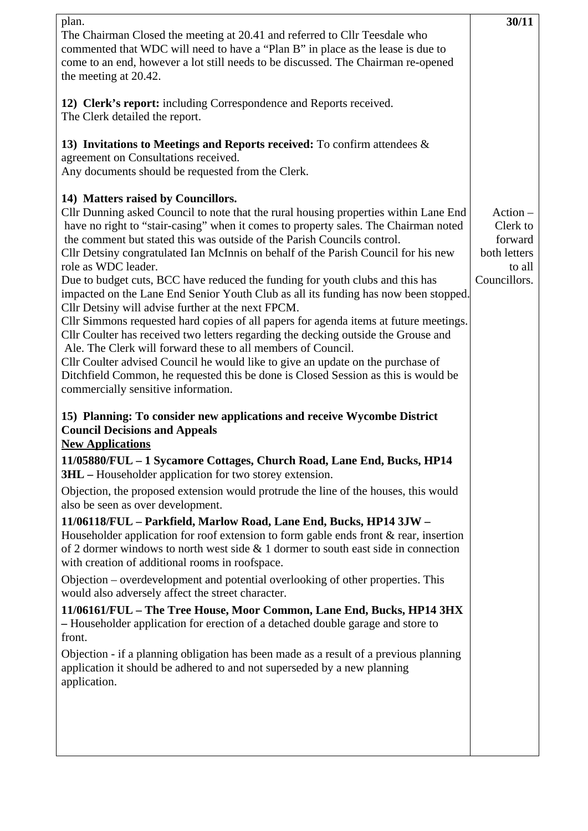| plan.<br>The Chairman Closed the meeting at 20.41 and referred to Cllr Teesdale who<br>commented that WDC will need to have a "Plan B" in place as the lease is due to<br>come to an end, however a lot still needs to be discussed. The Chairman re-opened<br>the meeting at 20.42.                                                                                                                                                                                                                                                                                                                                                                                                                                                                                                                                                                                                                                                                                                                                                                                                                   | 30/11                                                                       |
|--------------------------------------------------------------------------------------------------------------------------------------------------------------------------------------------------------------------------------------------------------------------------------------------------------------------------------------------------------------------------------------------------------------------------------------------------------------------------------------------------------------------------------------------------------------------------------------------------------------------------------------------------------------------------------------------------------------------------------------------------------------------------------------------------------------------------------------------------------------------------------------------------------------------------------------------------------------------------------------------------------------------------------------------------------------------------------------------------------|-----------------------------------------------------------------------------|
| 12) Clerk's report: including Correspondence and Reports received.<br>The Clerk detailed the report.                                                                                                                                                                                                                                                                                                                                                                                                                                                                                                                                                                                                                                                                                                                                                                                                                                                                                                                                                                                                   |                                                                             |
| 13) Invitations to Meetings and Reports received: To confirm attendees $\&$<br>agreement on Consultations received.<br>Any documents should be requested from the Clerk.                                                                                                                                                                                                                                                                                                                                                                                                                                                                                                                                                                                                                                                                                                                                                                                                                                                                                                                               |                                                                             |
| 14) Matters raised by Councillors.<br>Cllr Dunning asked Council to note that the rural housing properties within Lane End<br>have no right to "stair-casing" when it comes to property sales. The Chairman noted<br>the comment but stated this was outside of the Parish Councils control.<br>Cllr Detsiny congratulated Ian McInnis on behalf of the Parish Council for his new<br>role as WDC leader.<br>Due to budget cuts, BCC have reduced the funding for youth clubs and this has<br>impacted on the Lane End Senior Youth Club as all its funding has now been stopped.<br>Cllr Detsiny will advise further at the next FPCM.<br>Cllr Simmons requested hard copies of all papers for agenda items at future meetings.<br>Cllr Coulter has received two letters regarding the decking outside the Grouse and<br>Ale. The Clerk will forward these to all members of Council.<br>Cllr Coulter advised Council he would like to give an update on the purchase of<br>Ditchfield Common, he requested this be done is Closed Session as this is would be<br>commercially sensitive information. | $Action -$<br>Clerk to<br>forward<br>both letters<br>to all<br>Councillors. |
| 15) Planning: To consider new applications and receive Wycombe District<br><b>Council Decisions and Appeals</b><br><b>New Applications</b><br>11/05880/FUL - 1 Sycamore Cottages, Church Road, Lane End, Bucks, HP14                                                                                                                                                                                                                                                                                                                                                                                                                                                                                                                                                                                                                                                                                                                                                                                                                                                                                   |                                                                             |
| <b>3HL</b> – Householder application for two storey extension.                                                                                                                                                                                                                                                                                                                                                                                                                                                                                                                                                                                                                                                                                                                                                                                                                                                                                                                                                                                                                                         |                                                                             |
| Objection, the proposed extension would protrude the line of the houses, this would<br>also be seen as over development.                                                                                                                                                                                                                                                                                                                                                                                                                                                                                                                                                                                                                                                                                                                                                                                                                                                                                                                                                                               |                                                                             |
| 11/06118/FUL - Parkfield, Marlow Road, Lane End, Bucks, HP14 3JW -<br>Householder application for roof extension to form gable ends front $\&$ rear, insertion<br>of 2 dormer windows to north west side $\&$ 1 dormer to south east side in connection<br>with creation of additional rooms in roofspace.                                                                                                                                                                                                                                                                                                                                                                                                                                                                                                                                                                                                                                                                                                                                                                                             |                                                                             |
| Objection – overdevelopment and potential overlooking of other properties. This<br>would also adversely affect the street character.                                                                                                                                                                                                                                                                                                                                                                                                                                                                                                                                                                                                                                                                                                                                                                                                                                                                                                                                                                   |                                                                             |
| 11/06161/FUL - The Tree House, Moor Common, Lane End, Bucks, HP14 3HX<br>- Householder application for erection of a detached double garage and store to<br>front.                                                                                                                                                                                                                                                                                                                                                                                                                                                                                                                                                                                                                                                                                                                                                                                                                                                                                                                                     |                                                                             |
| Objection - if a planning obligation has been made as a result of a previous planning<br>application it should be adhered to and not superseded by a new planning<br>application.                                                                                                                                                                                                                                                                                                                                                                                                                                                                                                                                                                                                                                                                                                                                                                                                                                                                                                                      |                                                                             |
|                                                                                                                                                                                                                                                                                                                                                                                                                                                                                                                                                                                                                                                                                                                                                                                                                                                                                                                                                                                                                                                                                                        |                                                                             |